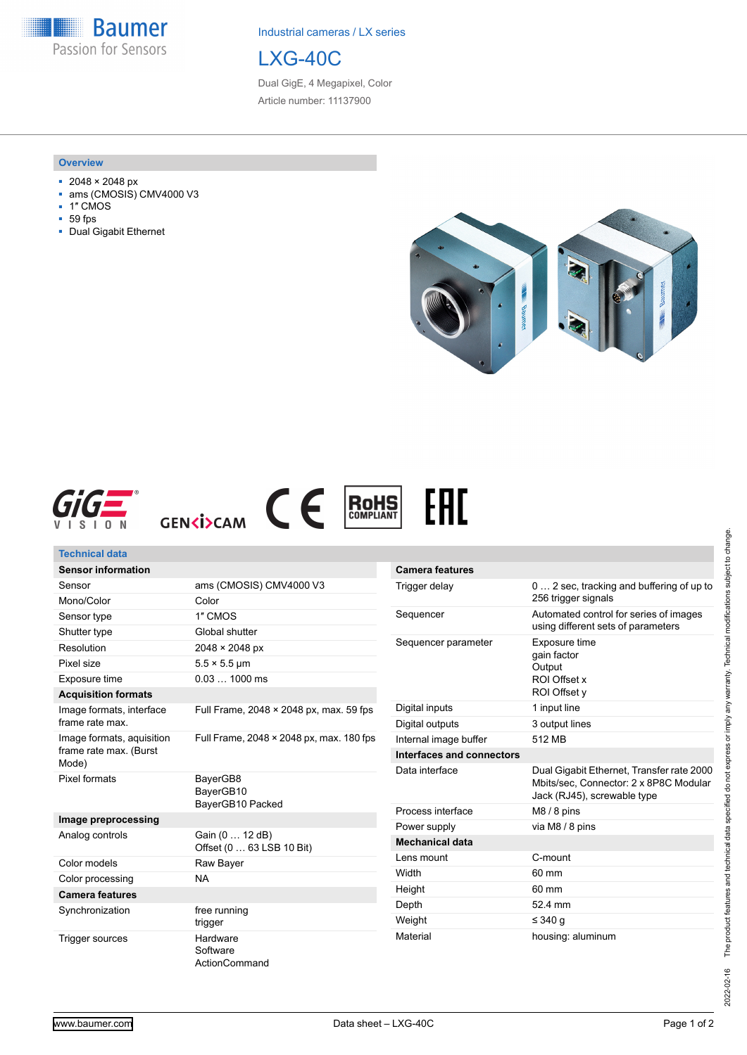**Baumer** Passion for Sensors

Industrial cameras / LX series



Dual GigE, 4 Megapixel, Color Article number: 11137900

#### **Overview**

- 2048 × 2048 px
- ams (CMOSIS) CMV4000 V3
- 1″ CMOS
- 59 fps
- Dual Gigabit Ethernet







| <b>Technical data</b>                       |                                              |                                                                               |                                                                                                                    |
|---------------------------------------------|----------------------------------------------|-------------------------------------------------------------------------------|--------------------------------------------------------------------------------------------------------------------|
| <b>Sensor information</b>                   |                                              | <b>Camera features</b>                                                        |                                                                                                                    |
| Sensor                                      | ams (CMOSIS) CMV4000 V3                      | Trigger delay                                                                 | 0  2 sec, tracking and buffering of up to                                                                          |
| Mono/Color                                  | Color                                        |                                                                               | 256 trigger signals                                                                                                |
| Sensor type                                 | 1" CMOS                                      | Sequencer                                                                     | Automated control for series of images                                                                             |
| Shutter type                                | Global shutter                               |                                                                               | using different sets of parameters                                                                                 |
| Resolution                                  | 2048 × 2048 px                               | Sequencer parameter<br>Exposure time<br>gain factor<br>Output<br>ROI Offset x |                                                                                                                    |
| Pixel size                                  | $5.5 \times 5.5$ µm                          |                                                                               |                                                                                                                    |
| Exposure time                               | $0.031000$ ms                                |                                                                               |                                                                                                                    |
| <b>Acquisition formats</b>                  |                                              |                                                                               | ROI Offset v                                                                                                       |
| Image formats, interface<br>frame rate max. | Full Frame, 2048 × 2048 px, max. 59 fps      | Digital inputs                                                                | 1 input line                                                                                                       |
|                                             |                                              | Digital outputs                                                               | 3 output lines                                                                                                     |
| Image formats, aquisition                   | Full Frame, 2048 × 2048 px, max. 180 fps     | Internal image buffer                                                         | 512 MB                                                                                                             |
| frame rate max. (Burst                      |                                              | Interfaces and connectors                                                     |                                                                                                                    |
| Mode)<br>Pixel formats                      | BayerGB8<br>BayerGB10<br>BayerGB10 Packed    | Data interface                                                                | Dual Gigabit Ethernet, Transfer rate 2000<br>Mbits/sec, Connector: 2 x 8P8C Modular<br>Jack (RJ45), screwable type |
|                                             |                                              | Process interface                                                             | $M8/8$ pins                                                                                                        |
| Image preprocessing                         |                                              | Power supply                                                                  | via M8 / 8 pins                                                                                                    |
| Analog controls                             | Gain (0  12 dB)<br>Offset (0  63 LSB 10 Bit) | <b>Mechanical data</b>                                                        |                                                                                                                    |
| Color models                                | Raw Bayer                                    | Lens mount                                                                    | C-mount                                                                                                            |
| Color processing                            | <b>NA</b>                                    | Width                                                                         | 60 mm                                                                                                              |
| <b>Camera features</b>                      |                                              | Height                                                                        | 60 mm                                                                                                              |
| Synchronization                             | free running                                 | Depth                                                                         | 52.4 mm                                                                                                            |
|                                             | trigger                                      | Weight                                                                        | ≤ 340 g                                                                                                            |
| Trigger sources                             | Hardware                                     | Material                                                                      | housing: aluminum                                                                                                  |

EAC

2022-02-16 The product features and technical data specified do not express or imply any warranty. Technical modifications subject to change. 2022-02-16 The product features and technical data specified do not express or imply any warranty. Technical modifications subject to change.

**Software** ActionCommand